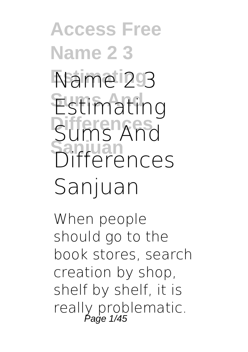**Access Free Name 2 3 Estimating Name 2 3 Estimating Differences Sums And Sanjuan Differences Sanjuan**

When people should go to the book stores, search creation by shop, shelf by shelf, it is really problematic.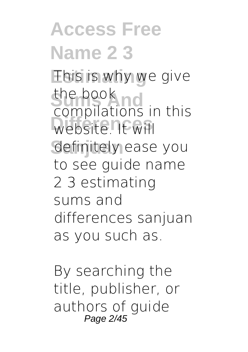**Access Free Name 2 3** This is why we give the book no website. It will definitely ease you compilations in this to see guide **name 2 3 estimating sums and differences sanjuan** as you such as.

By searching the title, publisher, or authors of guide Page 2/45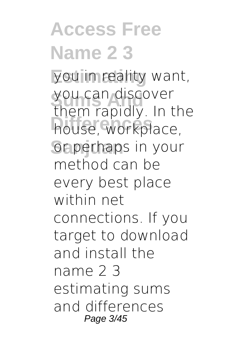**Access Free Name 2 3** you in reality want, you can discover house, workplace, or perhaps in your them rapidly. In the method can be every best place within net connections. If you target to download and install the name 2 3 estimating sums and differences Page 3/45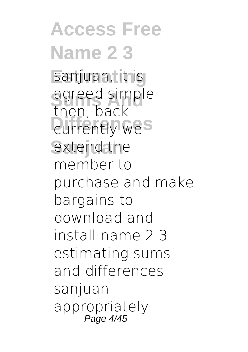**Access Free Name 2 3** sanjuan, it is agreed simple **Currently wes** extend the then, back member to purchase and make bargains to download and install name 2 3 estimating sums and differences sanjuan appropriately Page 4/45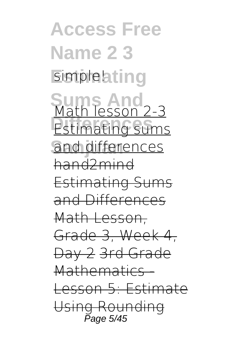**Access Free Name 2 3** simple!ating **Sums And** Math lesson 2-3 **Estimating sums** and differences hand2mind Estimating Sums and Differences Math Lesson, Grade 3, Week 4, Day 2 3rd Grade Mathematics -Lesson 5: Estimate Using Rounding Page 5/45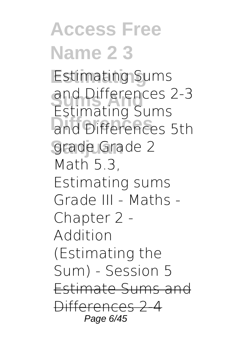**Access Free Name 2 3 Estimating Estimating Sums Sums And and Differences 2-3 Differences and Differences 5th Sanjuan grade** Grade 2 **Estimating Sums** Math 5.3, Estimating sums **Grade III - Maths - Chapter 2 - Addition (Estimating the Sum) - Session 5** Estimate Sums and Differences 2-4 Page 6/45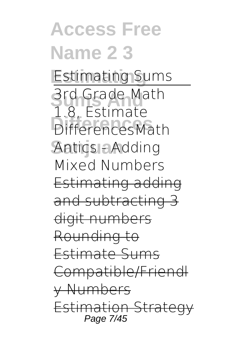**Access Free Name 2 3 Estimating** *Estimating Sums* **Srd Grade Math Differences** Differences*Math* **Sanjuan** *Antics - Adding* 1.8, Estimate *Mixed Numbers* Estimating adding and subtracting 3 digit numbers Rounding to Estimate Sums Compatible/Friendl y Numbers Estimation Strate Page 7/45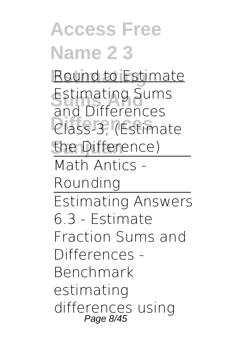**Access Free Name 2 3 Estimating** Round to Estimate **Estimating Sums Differences** *Class-3, (Estimate*  $the$  Difference) **and Differences** Math Antics - Rounding Estimating Answers 6.3 - Estimate Fraction Sums and Differences - Benchmark *estimating differences using* Page 8/45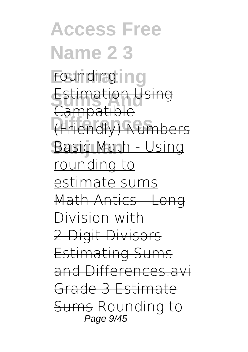**Access Free Name 2 3** rounding ing **Estimation Using Differences** (Friendly) Numbers **Basic Math - Using Campatible** rounding to estimate sums Math Antics - Long Division with 2-Digit Divisors Estimating Sums and Differences.avi Grade 3 Estimate Sums *Rounding to* Page 9/45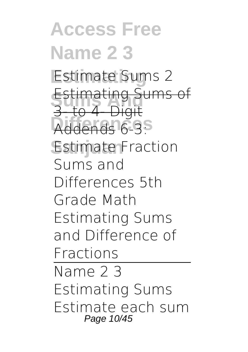**Access Free Name 2 3 Estimate Sums 2 Estimating Sums of Differences** Addends *6-3:* **Sanjuan** *Estimate Fraction* 3- to 4- Digit *Sums and Differences* **5th Grade Math Estimating Sums and Difference of Fractions** Name 2 3 Estimating Sums Estimate each sum Page 10/45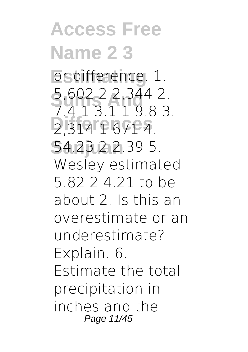**Access Free Name 2 3 Estimating** or difference. 1. **Sums And** 5,602 2 2,344 2. **Differences** 2,314 1 671 4. **Sanjuan** 54.23 2 2.39 5. 1 1 9 8 3 Wesley estimated 5.82 2 4.21 to be about 2. Is this an overestimate or an underestimate? Explain. 6. Estimate the total precipitation in inches and the Page 11/45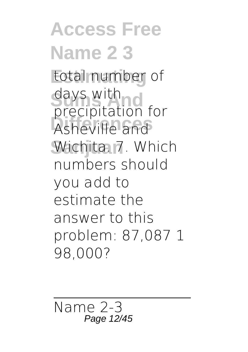**Access Free Name 2 3** total number of days with **Differences** Asheville and Wichita. 7. Which precipitation for numbers should you add to estimate the answer to this problem: 87,087 1 98,000?

Name 2-3 Page 12/45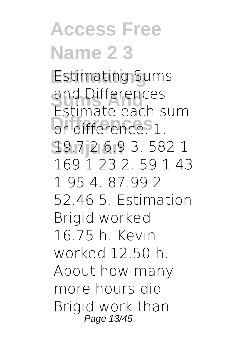**Access Free Name 2 3 Estimating** Estimating Sums and Differences<br>Estimate each sum **Differences** or difference. 1. **Sanjuan** 19.7 2 6.9 3. 582 1 and Differences 169 1 23 2. 59 1 43 1 95 4. 87.99 2 52.46 5. Estimation Brigid worked 16.75 h. Kevin worked 12.50 h. About how many more hours did Brigid work than Page 13/45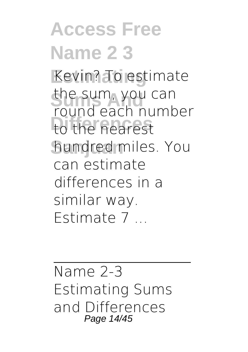**Access Free Name 2 3** Kevin? To estimate the sum, you can to the nearest **Sanjuan** hundred miles. You round each number can estimate differences in a similar way. Estimate 7 ...

Name 2-3 Estimating Sums and Differences Page 14/45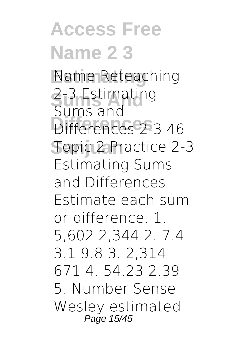**Access Free Name 2 3 Estimating** Name Reteaching **Sums And** 2-3 Estimating **Differences** Differences 2-3 46 **Sanjuan** Topic 2 Practice 2-3 Sums and Estimating Sums and Differences Estimate each sum or difference. 1. 5,602 2,344 2. 7.4 3.1 9.8 3. 2,314 671 4. 54.23 2.39 5. Number Sense Wesley estimated Page 15/45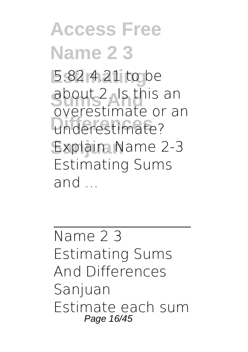**Access Free Name 2 3 Estimating** 5.82 4.21 to be about 2. Is this an **Differences** underestimate? Explain. Name 2-3 overestimate or an Estimating Sums and ...

Name 2 3 Estimating Sums And Differences Sanjuan Estimate each sum Page 16/45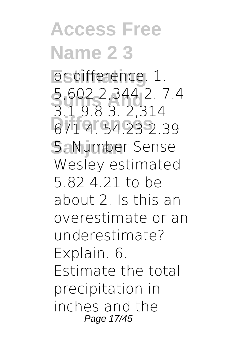**Access Free Name 2 3 Estimating** or difference. 1. **Sums And** 5,602 2,344 2. 7.4 **Differences** 671 4. 54.23 2.39 **Sanjuan** 5. Number Sense 3.1 9.8 3. 2,314 Wesley estimated 5.82 4.21 to be about 2. Is this an overestimate or an underestimate? Explain. 6. Estimate the total precipitation in inches and the Page 17/45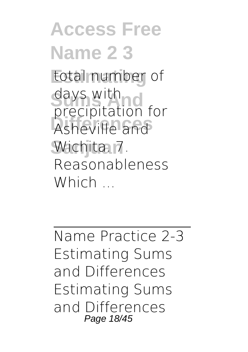**Access Free Name 2 3** total number of days with **Differences** Asheville and **Sanjuan** Wichita. 7. precipitation for Reasonableness Which ...

Name Practice 2-3 Estimating Sums and Differences Estimating Sums and Differences Page 18/45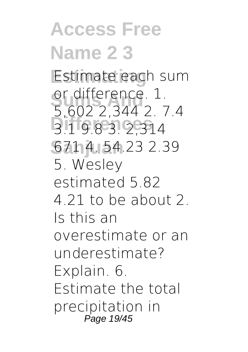#### **Access Free Name 2 3** Estimate each sum or difference. 1.<br>5,602 2,344 2. 7.4 **Differences** 3.1 9.8 3. 2,314 **Sanjuan** 671 4. 54.23 2.39 or difference. 1. 5. Wesley estimated 5.82 4.21 to be about 2. Is this an overestimate or an underestimate? Explain. 6. Estimate the total precipitation in Page 19/45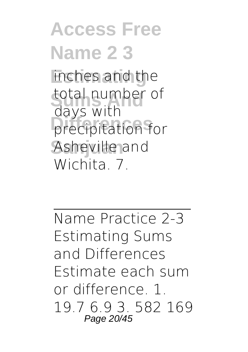### **Access Free Name 2 3** inches and the total number of precipitation for Asheville and days with Wichita<sub>7</sub>

Name Practice 2-3 Estimating Sums and Differences Estimate each sum or difference. 1. 19.7 6.9 3. 582 169 Page 20/45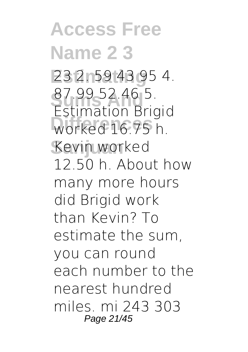**Access Free Name 2 3 Estimating** 23 2. 59 43 95 4. **Sums And** Estimation Brigid **Differences** worked 16.75 h. **Sanjuan** Kevin worked 87.99 52.46 5. 12.50 h. About how many more hours did Brigid work than Kevin? To estimate the sum, you can round each number to the nearest hundred miles. mi 243 303 Page 21/45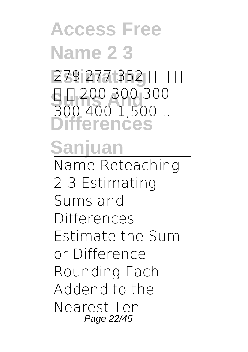### **Access Free Name 2 3 Estimating** 279 277 352 ⇒ ⇒ ⇒ **Sums And** 300 400 1,500 ... **Differences Sanjuan** ⇒ ⇒ 200 300 300 Name Reteaching 2-3 Estimating Sums and Differences Estimate the Sum or Difference Rounding Each Addend to the

Nearest Ten Page 22/45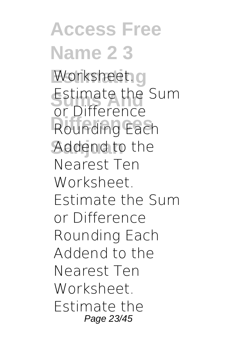**Access Free Name 2 3** Worksheet.g **Estimate the Sum** Rounding Each Addend to the or Difference Nearest Ten Worksheet. Estimate the Sum or Difference Rounding Each Addend to the Nearest Ten Worksheet. Estimate the Page 23/45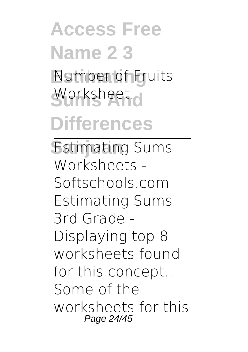## **Access Free Name 2 3 Estimating** Number of Fruits Worksheet.<sub>o</sub> **Differences**

Estimating Sums Worksheets - Softschools.com Estimating Sums 3rd Grade - Displaying top 8 worksheets found for this concept.. Some of the worksheets for this Page 24/45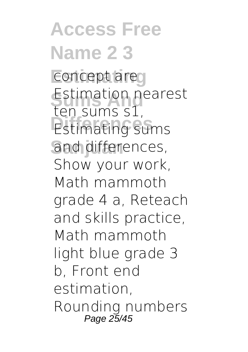**Access Free Name 2 3** concept area **Estimation nearest Estimating sums** and differences, ten sums s1, Show your work, Math mammoth grade 4 a, Reteach and skills practice, Math mammoth light blue grade 3 b, Front end estimation, Rounding numbers Page 25/45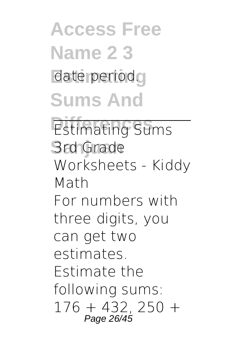## **Access Free Name 2 3** date period. **Sums And**

**Estimating Sums 3rd Grade** Worksheets - Kiddy Math For numbers with three digits, you can get two estimates. Estimate the following sums:  $176 + 432, 250 +$ Page 26/45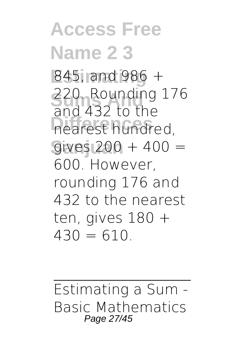**Access Free Name 2 3 Estimating** 845, and 986 + **Sums And** 220. Rounding 176 **Differences** nearest hundred, **Sanjuan** gives 200 + 400 = and 432 to the 600. However, rounding 176 and 432 to the nearest ten, gives 180 +  $430 = 610$ 

Estimating a Sum - Basic Mathematics Page 27/45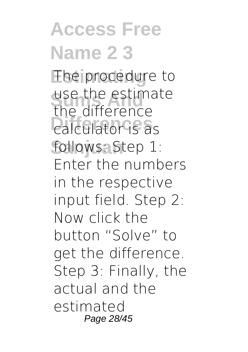**Access Free Name 2 3** The procedure to use the estima<br>the difference calculator is as follows: Step 1: use the estimate Enter the numbers in the respective input field. Step 2: Now click the button "Solve" to get the difference. Step 3: Finally, the actual and the estimated Page 28/45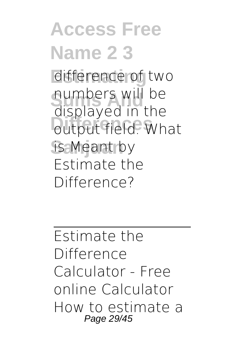#### **Access Free Name 2 3** difference of two **Sums And** displayed in the **Displayed in the** is Meant by numbers will be Estimate the Difference?

Estimate the **Difference** Calculator - Free online Calculator How to estimate a Page 29/45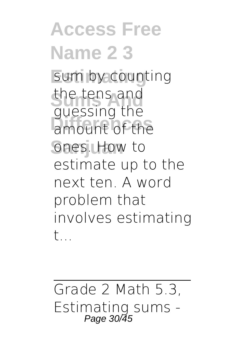**Access Free Name 2 3** sum by counting the tens and<br>
Supposing the amount of the ones. How to guessing the estimate up to the next ten. A word problem that involves estimating t...

Grade 2 Math 5.3, Estimating sums - Page 30/45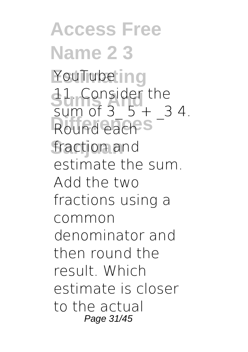**Access Free Name 2 3** YouTube ing **11. Consider the** Round each<sup>S</sup> fraction and sum of  $3\,5 + 34$ . estimate the sum. Add the two fractions using a common denominator and then round the result. Which estimate is closer to the actual Page 31/45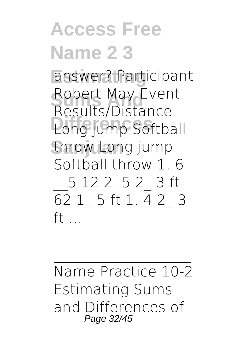#### **Access Free Name 2 3 Estimating** answer? Participant **Robert May Event**<br>Results Distance Long jump Softball throw Long jump Results/Distance Softball throw 1. 6 \_\_5 12 2. 5 2\_ 3 ft 62 1\_ 5 ft 1. 4 2\_ 3  $ft$  ...

Name Practice 10-2 Estimating Sums and Differences of Page 32/45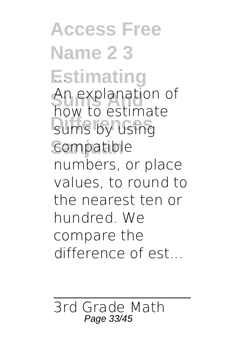**Access Free Name 2 3** Estimating An explanation of<br>how to estimate sums by using compatible An explanation of numbers, or place values, to round to the nearest ten or hundred. We compare the difference of est...

3rd Grade Math Page 33/45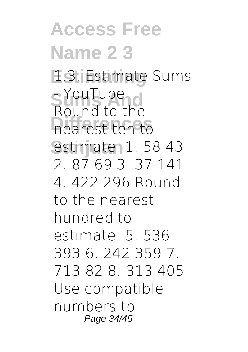**Access Free Name 2 3** 1.3, Estimate Sums S YouTube<br>Bound to the **Differences** nearest ten to **Sanjuan** estimate. 1. 58 43 Round to the 2. 87 69 3. 37 141 4. 422 296 Round to the nearest hundred to estimate. 5. 536 393 6. 242 359 7. 713 82 8. 313 405 Use compatible numbers to Page 34/45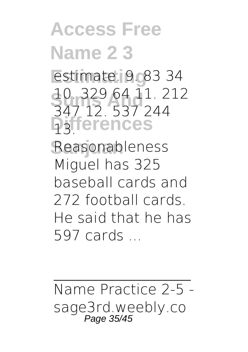## **Access Free Name 2 3**

**Estimating** estimate. 9. 83 34 **Sums And** 347 12. 537 244 **Differences** 13. 10. 329 64 11. 212

**Sanjuan** Reasonableness Miguel has 325 baseball cards and 272 football cards. He said that he has 597 cards ...

Name Practice 2-5 sage3rd.weebly.co Page 35/45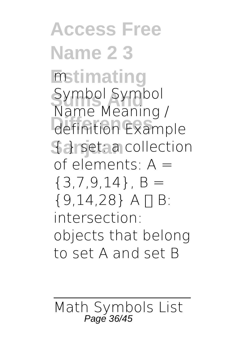**Access Free Name 2 3 Enstimating** Symbol Symbol<br>Name Meaning **Differences Sanset: a collection** Name Meaning / of elements: A =  ${3,7,9,14}$ , B = {9,14,28} A ∩ B: intersection: objects that belong to set A and set B

Math Symbols List Page 36/45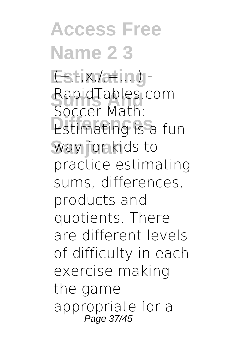**Access Free Name 2 3 Estix/ating-**RapidTables.com **Estimating is a fun** way for kids to Soccer Math: practice estimating sums, differences, products and quotients. There are different levels of difficulty in each exercise making the game appropriate for a Page 37/45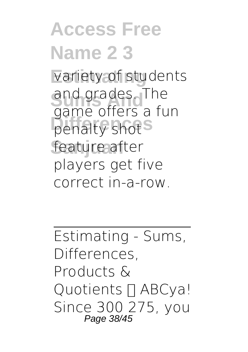#### **Access Free Name 2 3** variety of students and grades. The penalty shot<sup>S</sup> feature after sumes a fun players get five correct in-a-row.

Estimating - Sums, Differences, Products & Quotients  $\Pi$  ABCya! Since 300 275, you Page 38/45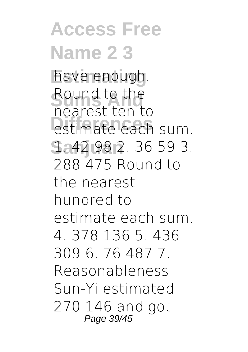**Access Free Name 2 3** have enough. Round to the **Prediction** control of the sum. **Sanjuan** 1. 42 98 2. 36 59 3. nearest ten to 288 475 Round to the nearest hundred to estimate each sum. 4. 378 136 5. 436 309 6. 76 487 7. Reasonableness Sun-Yi estimated 270 146 and got Page 39/45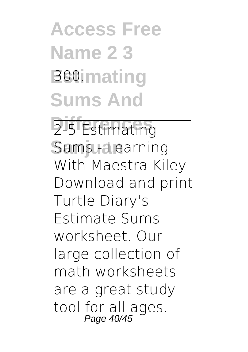**Access Free Name 2 3 Booimating Sums And**

2-5 Estimating Sums **Learning** With Maestra Kiley Download and print Turtle Diary's Estimate Sums worksheet. Our large collection of math worksheets are a great study tool for all ages. Page 40/45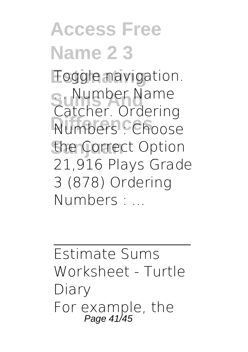# **Access Free Name 2 3**

**Estimating** Toggle navigation. **S. Number Name**<br>Catcher Ordering **Numbers** Choose the Correct Option Catcher. Ordering 21,916 Plays Grade 3 (878) Ordering Numbers : ...

Estimate Sums Worksheet - Turtle Diary For example, the Page 41/45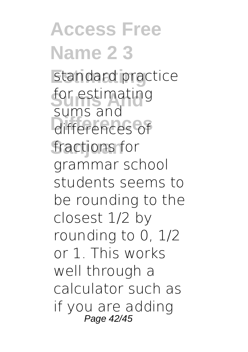**Access Free Name 2 3** standard practice **Sums And** for estimating **Differences** differences of fractions for sums and grammar school students seems to be rounding to the closest 1/2 by rounding to 0, 1/2 or 1. This works well through a calculator such as if you are adding Page 42/45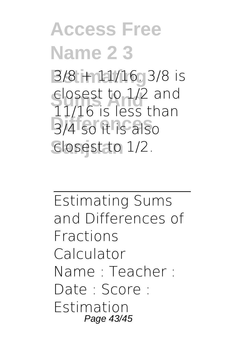**Access Free Name 2 3 Estimating** 3/8 + 11/16. 3/8 is **Summer Closest to 1/2 and<br>11/16 is loss than Differences** 3/4 so it is also **Sanjuan** closest to 1/2. 11/16 is less than

Estimating Sums and Differences of Fractions Calculator Name : Teacher : Date : Score : Estimation Page 43/45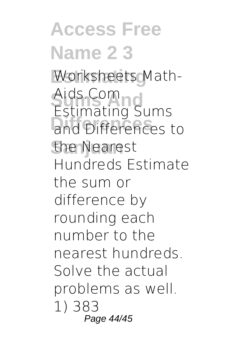**Access Free Name 2 3** Worksheets Math-Aids.Com<br>Estimating C **Differences** and Differences to the Nearest Estimating Sums Hundreds Estimate the sum or difference by rounding each number to the nearest hundreds. Solve the actual problems as well. 1) 383 Page 44/45